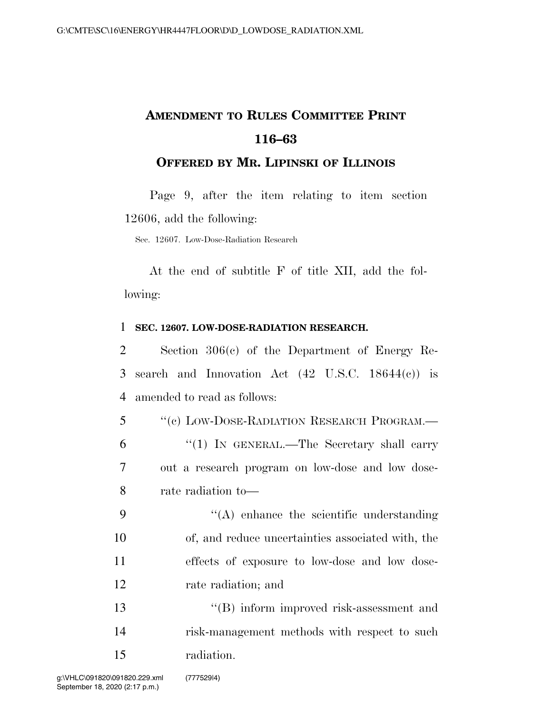## **AMENDMENT TO RULES COMMITTEE PRINT 116–63**

## **OFFERED BY MR. LIPINSKI OF ILLINOIS**

Page 9, after the item relating to item section 12606, add the following:

Sec. 12607. Low-Dose-Radiation Research

At the end of subtitle F of title XII, add the following:

## 1 **SEC. 12607. LOW-DOSE-RADIATION RESEARCH.**

2 Section 306(c) of the Department of Energy Re-3 search and Innovation Act (42 U.S.C. 18644(c)) is 4 amended to read as follows:

 ''(c) LOW-DOSE-RADIATION RESEARCH PROGRAM.— ''(1) IN GENERAL.—The Secretary shall carry out a research program on low-dose and low dose-rate radiation to—

 $\langle (A) \rangle$  enhance the scientific understanding of, and reduce uncertainties associated with, the effects of exposure to low-dose and low dose-rate radiation; and

13 ''(B) inform improved risk-assessment and 14 risk-management methods with respect to such 15 radiation.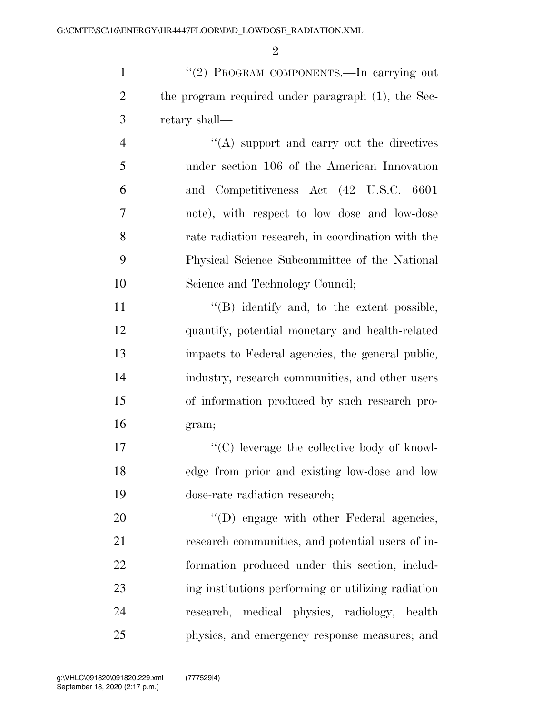$\mathfrak{D}$ 

1 "(2) PROGRAM COMPONENTS.—In carrying out 2 the program required under paragraph (1), the Sec-retary shall—

4 ''(A) support and carry out the directives under section 106 of the American Innovation and Competitiveness Act (42 U.S.C. 6601 note), with respect to low dose and low-dose rate radiation research, in coordination with the Physical Science Subcommittee of the National Science and Technology Council;

11 "(B) identify and, to the extent possible, quantify, potential monetary and health-related impacts to Federal agencies, the general public, industry, research communities, and other users of information produced by such research pro-gram;

17  $\langle \text{C} \rangle$  leverage the collective body of knowl- edge from prior and existing low-dose and low dose-rate radiation research;

 $'(D)$  engage with other Federal agencies, research communities, and potential users of in- formation produced under this section, includ- ing institutions performing or utilizing radiation research, medical physics, radiology, health physics, and emergency response measures; and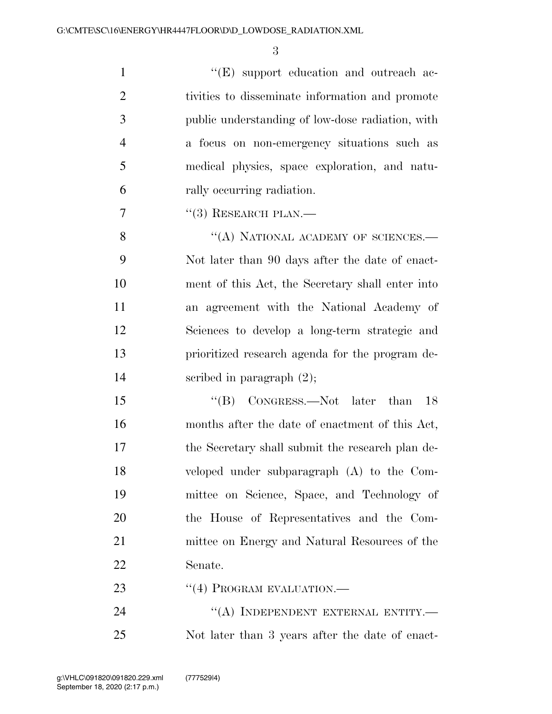$\lq\lq$  (E) support education and outreach ac- tivities to disseminate information and promote public understanding of low-dose radiation, with a focus on non-emergency situations such as medical physics, space exploration, and natu-rally occurring radiation.

 $7 \t\t\t\t\t\t\t''(3)$  RESEARCH PLAN.—

8 "(A) NATIONAL ACADEMY OF SCIENCES.— Not later than 90 days after the date of enact- ment of this Act, the Secretary shall enter into an agreement with the National Academy of Sciences to develop a long-term strategic and prioritized research agenda for the program de-scribed in paragraph (2);

15 "(B) CONGRESS.—Not later than 18 months after the date of enactment of this Act, the Secretary shall submit the research plan de- veloped under subparagraph (A) to the Com- mittee on Science, Space, and Technology of the House of Representatives and the Com- mittee on Energy and Natural Resources of the Senate.

23 "(4) PROGRAM EVALUATION.—

24 "(A) INDEPENDENT EXTERNAL ENTITY.— Not later than 3 years after the date of enact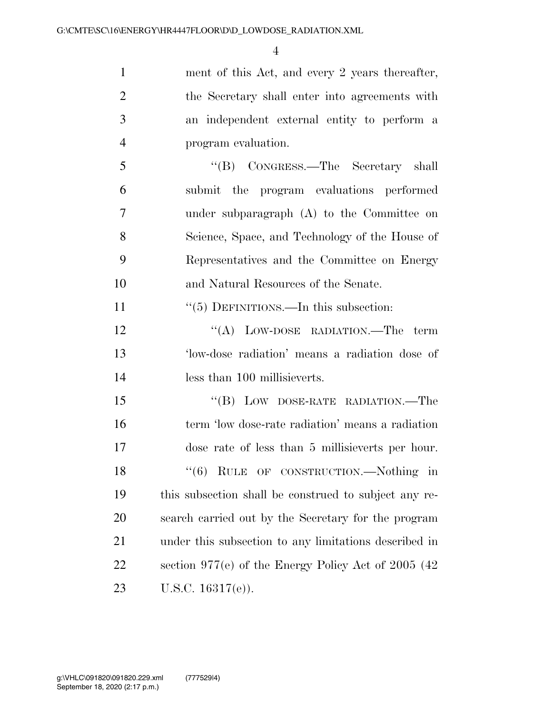| $\mathbf{1}$   | ment of this Act, and every 2 years thereafter,        |
|----------------|--------------------------------------------------------|
| $\overline{2}$ | the Secretary shall enter into agreements with         |
| 3              | an independent external entity to perform a            |
| $\overline{4}$ | program evaluation.                                    |
| 5              | "(B) CONGRESS.—The Secretary shall                     |
| 6              | submit the program evaluations performed               |
| 7              | under subparagraph (A) to the Committee on             |
| 8              | Science, Space, and Technology of the House of         |
| 9              | Representatives and the Committee on Energy            |
| 10             | and Natural Resources of the Senate.                   |
| 11             | $\cdot\cdot$ (5) DEFINITIONS.—In this subsection:      |
| 12             | "(A) LOW-DOSE RADIATION.—The term                      |
| 13             | 'low-dose radiation' means a radiation dose of         |
| 14             | less than 100 millisieverts.                           |
| 15             | "(B) LOW DOSE-RATE RADIATION.—The                      |
| 16             | term 'low dose-rate radiation' means a radiation       |
| 17             | dose rate of less than 5 millisieverts per hour.       |
| 18             | "(6) RULE OF CONSTRUCTION.—Nothing<br>$\ln$            |
| 19             | this subsection shall be construed to subject any re-  |
| 20             | search carried out by the Secretary for the program    |
| 21             | under this subsection to any limitations described in  |
| 22             | section $977(e)$ of the Energy Policy Act of 2005 (42) |
| 23             | U.S.C. $16317(e)$ ).                                   |